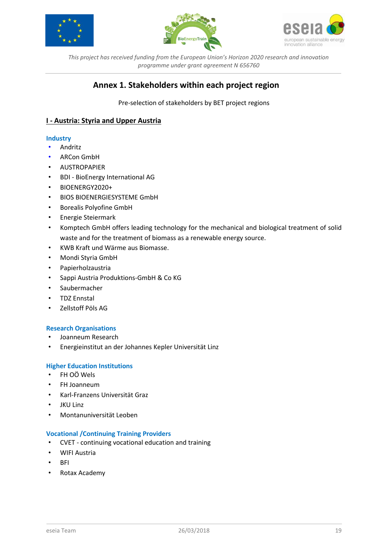





# **Annex 1. Stakeholders within each project region**

Pre-selection of stakeholders by BET project regions

# **I - Austria: Styria and Upper Austria**

## **Industry**

- Andritz
- ARCon GmbH
- AUSTROPAPIER
- BDI BioEnergy International AG
- BIOENERGY2020+
- BIOS BIOENERGIESYSTEME GmbH
- Borealis Polyofine GmbH
- Energie Steiermark
- Komptech GmbH offers leading technology for the mechanical and biological treatment of solid waste and for the treatment of biomass as a renewable energy source.
- KWB Kraft und Wärme aus Biomasse.
- Mondi Styria GmbH
- Papierholzaustria
- Sappi Austria Produktions-GmbH & Co KG
- Saubermacher
- TDZ Ennstal
- Zellstoff Pöls AG

## **Research Organisations**

- Joanneum Research
- Energieinstitut an der Johannes Kepler Universität Linz

## **Higher Education Institutions**

- FH OÖ Wels
- FH Joanneum
- Karl-Franzens Universität Graz
- JKU Linz
- Montanuniversität Leoben

#### **Vocational /Continuing Training Providers**

- CVET continuing vocational education and training
- WIFI Austria
- BFI
- Rotax Academy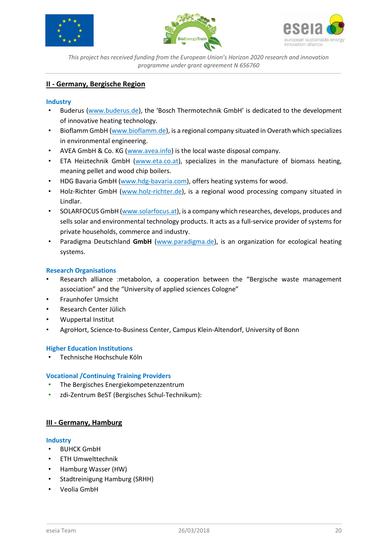





# **II - Germany, Bergische Region**

## **Industry**

- Buderus [\(www.buderus.de](http://www.buderus.de/)), the 'Bosch Thermotechnik GmbH' is dedicated to the development of innovative heating technology.
- Bioflamm GmbH [\(www.bioflamm.de\)](http://www.bioflamm.de/), is a regional company situated in Overath which specializes in environmental engineering.
- AVEA GmbH & Co. KG [\(www.avea.info\)](http://www.avea.info/) is the local waste disposal company.
- ETA Heiztechnik GmbH [\(www.eta.co.at\)](http://www.eta.co.at/), specializes in the manufacture of biomass heating, meaning pellet and wood chip boilers.
- HDG Bavaria GmbH [\(www.hdg-bavaria.com\)](http://www.hdg-bavaria.com/), offers heating systems for wood.
- Holz-Richter GmbH [\(www.holz-richter.de\)](http://www.holz-richter.de/), is a regional wood processing company situated in Lindlar.
- SOLARFOCUS GmbH [\(www.solarfocus.at\)](http://www.solarfocus.at/), is a company which researches, develops, produces and sells solar and environmental technology products. It acts as a full-service provider of systems for private households, commerce and industry.
- Paradigma Deutschland **GmbH** [\(www.paradigma.de\)](http://www.paradigma.de/), is an organization for ecological heating systems.

## **Research Organisations**

- Research alliance :metabolon, a cooperation between the "Bergische waste management association" and the "University of applied sciences Cologne"
- Fraunhofer Umsicht
- Research Center Jülich
- Wuppertal Institut
- AgroHort, Science-to-Business Center, Campus Klein-Altendorf, University of Bonn

## **Higher Education Institutions**

• Technische Hochschule Köln

## **Vocational /Continuing Training Providers**

- The Bergisches Energiekompetenzzentrum
- zdi-Zentrum BeST (Bergisches Schul-Technikum):

## **III - Germany, Hamburg**

#### **Industry**

- BUHCK GmbH
- ETH Umwelttechnik
- Hamburg Wasser (HW)
- Stadtreinigung Hamburg (SRHH)
- Veolia GmbH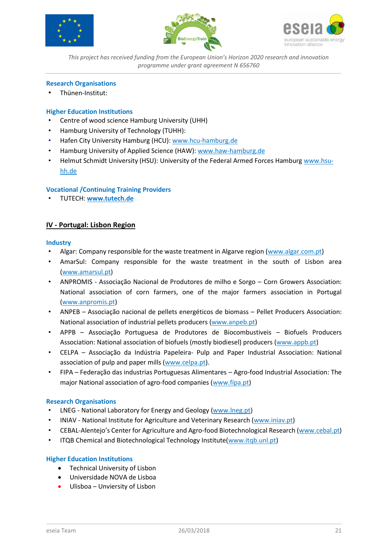





## **Research Organisations**

• Thünen-Institut:

# **Higher Education Institutions**

- Centre of wood science Hamburg University (UHH)
- Hamburg University of Technology (TUHH):
- Hafen City University Hamburg (HCU)[: www.hcu-hamburg.de](https://www.hcu-hamburg.de/)
- Hamburg University of Applied Science (HAW)[: www.haw-hamburg.de](http://www.haw-hamburg.de/)
- Helmut Schmidt University (HSU): University of the Federal Armed Forces Hamburg [www.hsu](http://www.hsu-hh.de/)[hh.de](http://www.hsu-hh.de/)

# **Vocational /Continuing Training Providers**

• TUTECH: **[www.tutech.de](http://www.tutech.de/)**

# **IV - Portugal: Lisbon Region**

#### **Industry**

- Algar: Company responsible for the waste treatment in Algarve region [\(www.algar.com.pt\)](http://www.algar.com.pt/)
- AmarSul: Company responsible for the waste treatment in the south of Lisbon area [\(www.amarsul.pt\)](http://www.amarsul.pt/)
- ANPROMIS Associação Nacional de Produtores de milho e Sorgo Corn Growers Association: National association of corn farmers, one of the major farmers association in Portugal [\(www.anpromis.pt\)](http://www.anpromis.pt/)
- ANPEB Associação nacional de pellets energéticos de biomass Pellet Producers Association: National association of industrial pellets producers [\(www.anpeb.pt\)](http://www.anpeb.pt/)
- APPB Associação Portuguesa de Produtores de Biocombustiveis Biofuels Producers Association: National association of biofuels (mostly biodiesel) producers [\(www.appb.pt\)](http://www.appb.pt/)
- CELPA Associação da Indústria Papeleira- Pulp and Paper Industrial Association: National association of pulp and paper mills [\(www.celpa.pt\)](http://www.celpa.pt/).
- FIPA Federação das industrias Portuguesas Alimentares Agro-food Industrial Association: The major National association of agro-food companies [\(www.fipa.pt\)](http://www.fipa.pt/)

## **Research Organisations**

- LNEG National Laboratory for Energy and Geology [\(www.lneg.pt\)](http://www.lneg.pt/)
- INIAV National Institute for Agriculture and Veterinary Research [\(www.iniav.pt\)](http://www.iniav.pt/)
- CEBAL-Alentejo's Center for Agriculture and Agro-food Biotechnological Research [\(www.cebal.pt\)](http://www.cebal.pt/)
- ITQB Chemical and Biotechnological Technology Institute[\(www.itqb.unl.pt\)](http://www.itqb.unl.pt/)

## **Higher Education Institutions**

- Technical University of Lisbon
- Universidade NOVA de Lisboa
- Ulisboa Unviersity of Lisbon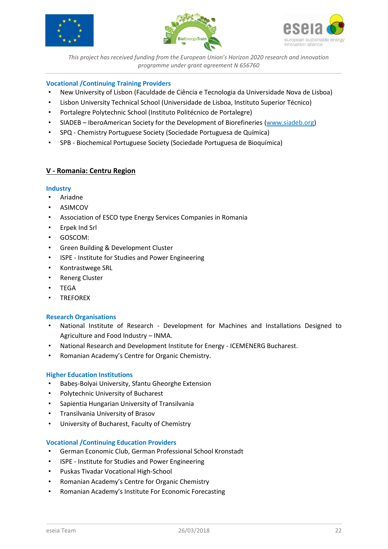





# **Vocational /Continuing Training Providers**

- New University of Lisbon (Faculdade de Ciência e Tecnologia da Universidade Nova de Lisboa)
- Lisbon University Technical School (Universidade de Lisboa, Instituto Superior Técnico)
- Portalegre Polytechnic School (Instituto Politécnico de Portalegre)
- SIADEB IberoAmerican Society for the Development of Biorefineries [\(www.siadeb.org\)](http://www.siadeb.org/)
- SPQ Chemistry Portuguese Society (Sociedade Portuguesa de Química)
- SPB Biochemical Portuguese Society (Sociedade Portuguesa de Bioquímica)

# **V - Romania: Centru Region**

#### **Industry**

- Ariadne
- ASIMCOV
- Association of ESCO type Energy Services Companies in Romania
- Erpek Ind Srl
- GOSCOM:
- Green Building & Development Cluster
- ISPE Institute for Studies and Power Engineering
- Kontrastwege SRL
- Renerg Cluster
- TEGA
- **TREFOREX**

## **Research Organisations**

- National Institute of Research Development for Machines and Installations Designed to Agriculture and Food Industry – INMA.
- National Research and Development Institute for Energy ICEMENERG Bucharest.
- Romanian Academy's Centre for Organic Chemistry.

## **Higher Education Institutions**

- Babeș-Bolyai University, Sfantu Gheorghe Extension
- Polytechnic University of Bucharest
- Sapientia Hungarian University of Transilvania
- Transilvania University of Brasov
- University of Bucharest, Faculty of Chemistry

#### **Vocational /Continuing Education Providers**

- German Economic Club, German Professional School Kronstadt
- ISPE Institute for Studies and Power Engineering
- Puskas Tivadar Vocational High-School
- Romanian Academy's Centre for Organic Chemistry
- Romanian Academy's Institute For Economic Forecasting